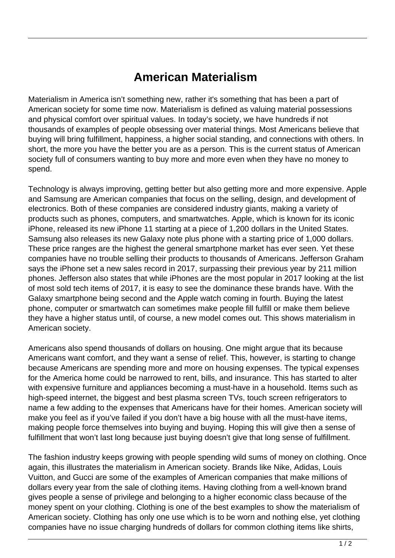## **American Materialism**

Materialism in America isn't something new, rather it's something that has been a part of American society for some time now. Materialism is defined as valuing material possessions and physical comfort over spiritual values. In today's society, we have hundreds if not thousands of examples of people obsessing over material things. Most Americans believe that buying will bring fulfillment, happiness, a higher social standing, and connections with others. In short, the more you have the better you are as a person. This is the current status of American society full of consumers wanting to buy more and more even when they have no money to spend.

Technology is always improving, getting better but also getting more and more expensive. Apple and Samsung are American companies that focus on the selling, design, and development of electronics. Both of these companies are considered industry giants, making a variety of products such as phones, computers, and smartwatches. Apple, which is known for its iconic iPhone, released its new iPhone 11 starting at a piece of 1,200 dollars in the United States. Samsung also releases its new Galaxy note plus phone with a starting price of 1,000 dollars. These price ranges are the highest the general smartphone market has ever seen. Yet these companies have no trouble selling their products to thousands of Americans. Jefferson Graham says the iPhone set a new sales record in 2017, surpassing their previous year by 211 million phones. Jefferson also states that while iPhones are the most popular in 2017 looking at the list of most sold tech items of 2017, it is easy to see the dominance these brands have. With the Galaxy smartphone being second and the Apple watch coming in fourth. Buying the latest phone, computer or smartwatch can sometimes make people fill fulfill or make them believe they have a higher status until, of course, a new model comes out. This shows materialism in American society.

Americans also spend thousands of dollars on housing. One might argue that its because Americans want comfort, and they want a sense of relief. This, however, is starting to change because Americans are spending more and more on housing expenses. The typical expenses for the America home could be narrowed to rent, bills, and insurance. This has started to alter with expensive furniture and appliances becoming a must-have in a household. Items such as high-speed internet, the biggest and best plasma screen TVs, touch screen refrigerators to name a few adding to the expenses that Americans have for their homes. American society will make you feel as if you've failed if you don't have a big house with all the must-have items, making people force themselves into buying and buying. Hoping this will give then a sense of fulfillment that won't last long because just buying doesn't give that long sense of fulfillment.

The fashion industry keeps growing with people spending wild sums of money on clothing. Once again, this illustrates the materialism in American society. Brands like Nike, Adidas, Louis Vuitton, and Gucci are some of the examples of American companies that make millions of dollars every year from the sale of clothing items. Having clothing from a well-known brand gives people a sense of privilege and belonging to a higher economic class because of the money spent on your clothing. Clothing is one of the best examples to show the materialism of American society. Clothing has only one use which is to be worn and nothing else, yet clothing companies have no issue charging hundreds of dollars for common clothing items like shirts,